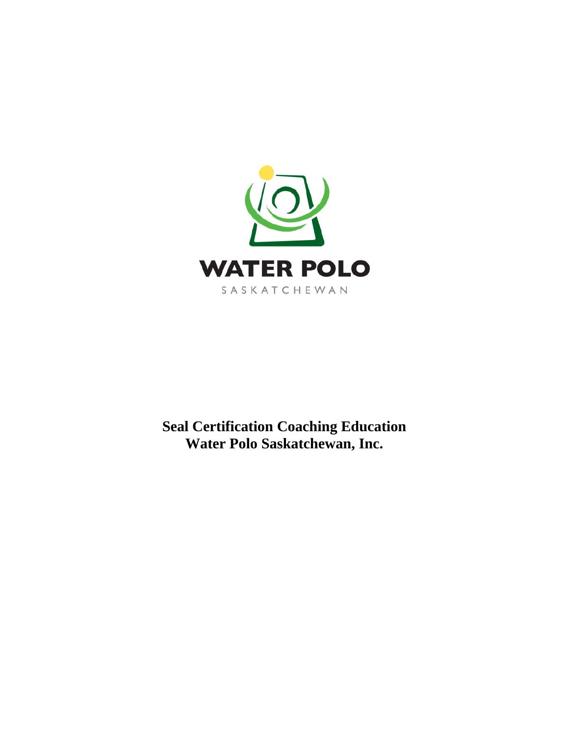

**Seal Certification Coaching Education Water Polo Saskatchewan, Inc.**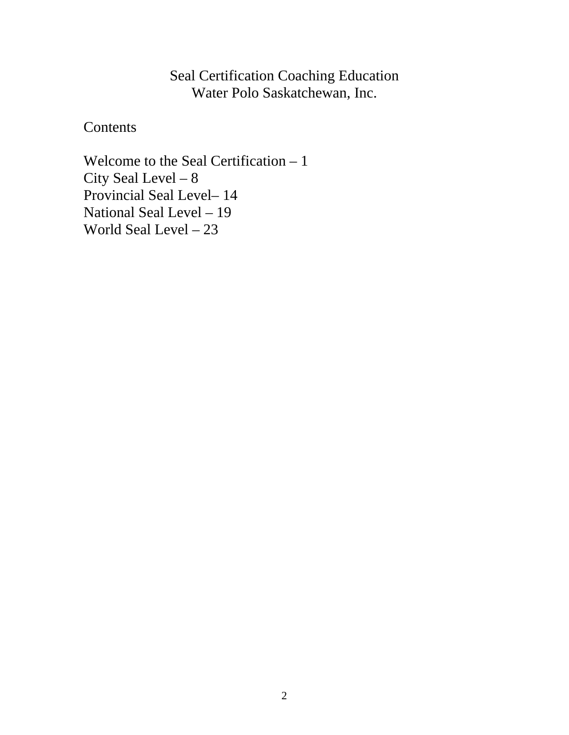### Seal Certification Coaching Education Water Polo Saskatchewan, Inc.

**Contents** 

Welcome to the Seal Certification – 1 City Seal Level – 8 Provincial Seal Level– 14 National Seal Level – 19 World Seal Level – 23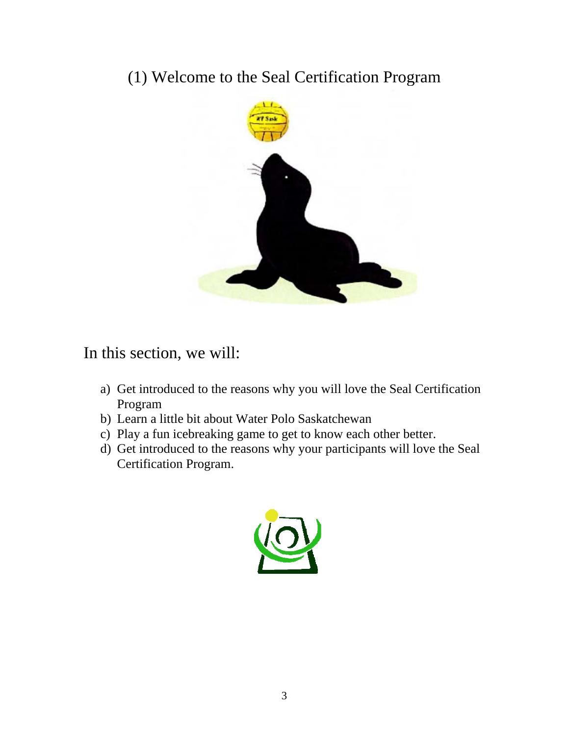# (1) Welcome to the Seal Certification Program



## In this section, we will:

- a) Get introduced to the reasons why you will love the Seal Certification Program
- b) Learn a little bit about Water Polo Saskatchewan
- c) Play a fun icebreaking game to get to know each other better.
- d) Get introduced to the reasons why your participants will love the Seal Certification Program.

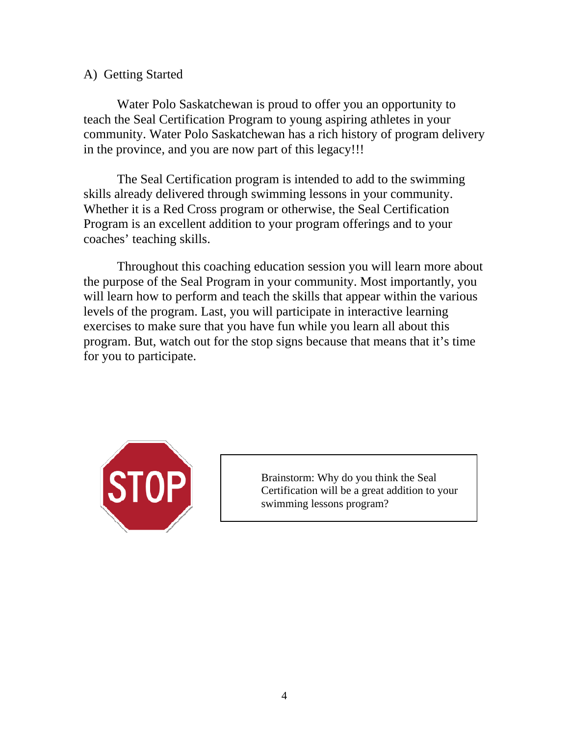#### A) Getting Started

 Water Polo Saskatchewan is proud to offer you an opportunity to teach the Seal Certification Program to young aspiring athletes in your community. Water Polo Saskatchewan has a rich history of program delivery in the province, and you are now part of this legacy!!!

 The Seal Certification program is intended to add to the swimming skills already delivered through swimming lessons in your community. Whether it is a Red Cross program or otherwise, the Seal Certification Program is an excellent addition to your program offerings and to your coaches' teaching skills.

 Throughout this coaching education session you will learn more about the purpose of the Seal Program in your community. Most importantly, you will learn how to perform and teach the skills that appear within the various levels of the program. Last, you will participate in interactive learning exercises to make sure that you have fun while you learn all about this program. But, watch out for the stop signs because that means that it's time for you to participate.



Brainstorm: Why do you think the Seal Certification will be a great addition to your swimming lessons program?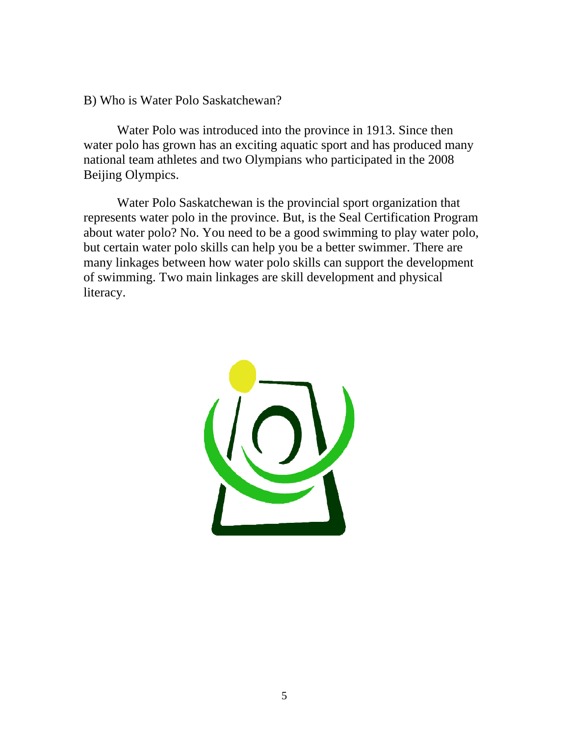B) Who is Water Polo Saskatchewan?

Water Polo was introduced into the province in 1913. Since then water polo has grown has an exciting aquatic sport and has produced many national team athletes and two Olympians who participated in the 2008 Beijing Olympics.

Water Polo Saskatchewan is the provincial sport organization that represents water polo in the province. But, is the Seal Certification Program about water polo? No. You need to be a good swimming to play water polo, but certain water polo skills can help you be a better swimmer. There are many linkages between how water polo skills can support the development of swimming. Two main linkages are skill development and physical literacy.

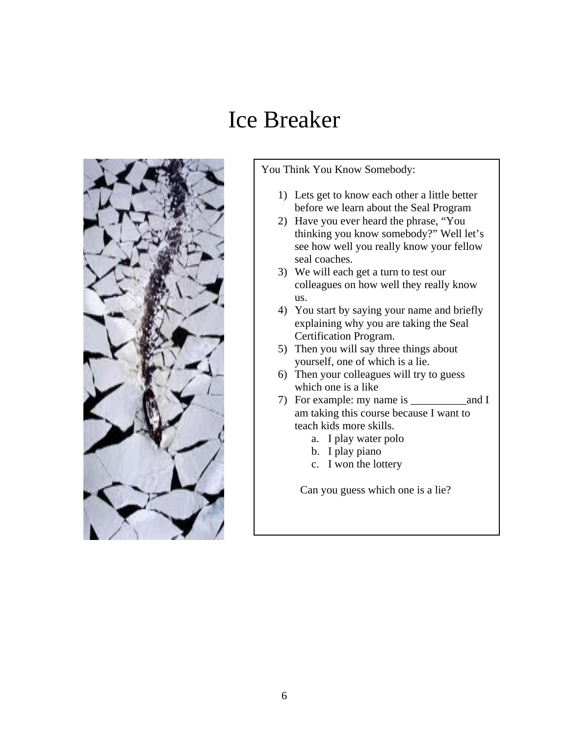# Ice Breaker



You Think You Know Somebody:

- 1) Lets get to know each other a little better before we learn about the Seal Program
- 2) Have you ever heard the phrase, "You thinking you know somebody?" Well let's see how well you really know your fellow seal coaches.
- 3) We will each get a turn to test our colleagues on how well they really know us.
- 4) You start by saying your name and briefly explaining why you are taking the Seal Certification Program.
- 5) Then you will say three things about yourself, one of which is a lie.
- 6) Then your colleagues will try to guess which one is a like
- 7) For example: my name is and I am taking this course because I want to teach kids more skills.
	- a. I play water polo
	- b. I play piano
	- c. I won the lottery

Can you guess which one is a lie?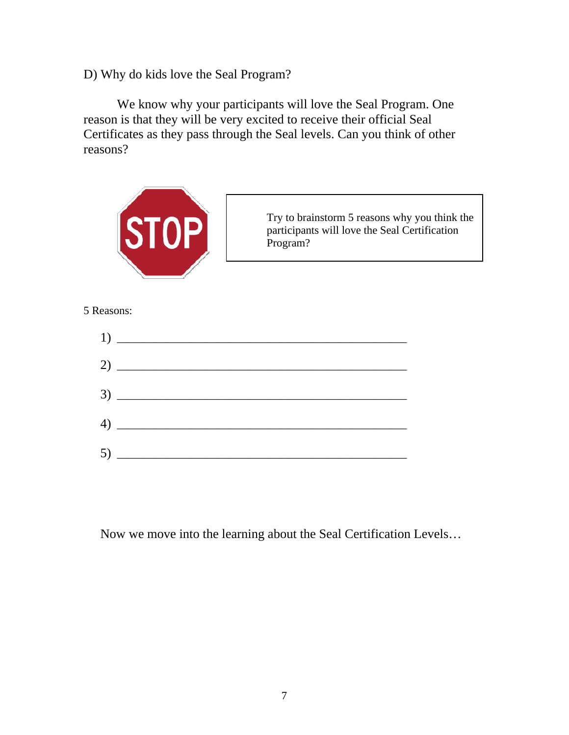D) Why do kids love the Seal Program?

 We know why your participants will love the Seal Program. One reason is that they will be very excited to receive their official Seal Certificates as they pass through the Seal levels. Can you think of other reasons?



#### 5 Reasons:



Now we move into the learning about the Seal Certification Levels…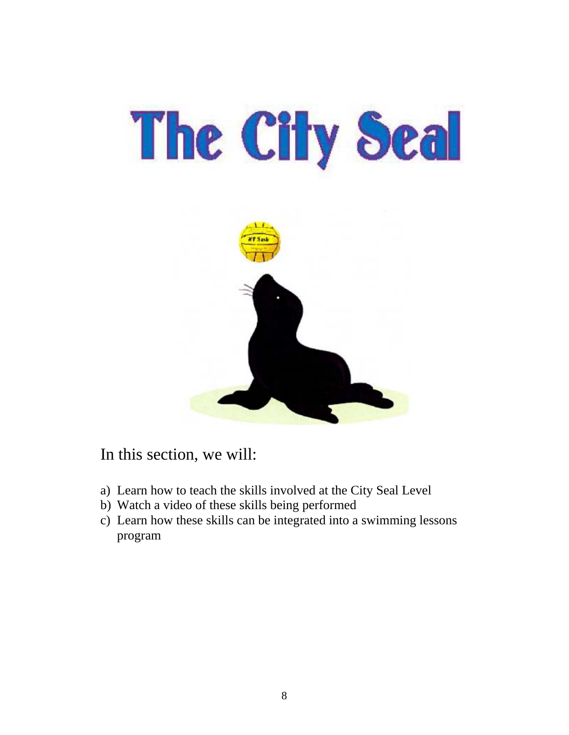# The City Seal



In this section, we will:

- a) Learn how to teach the skills involved at the City Seal Level
- b) Watch a video of these skills being performed
- c) Learn how these skills can be integrated into a swimming lessons program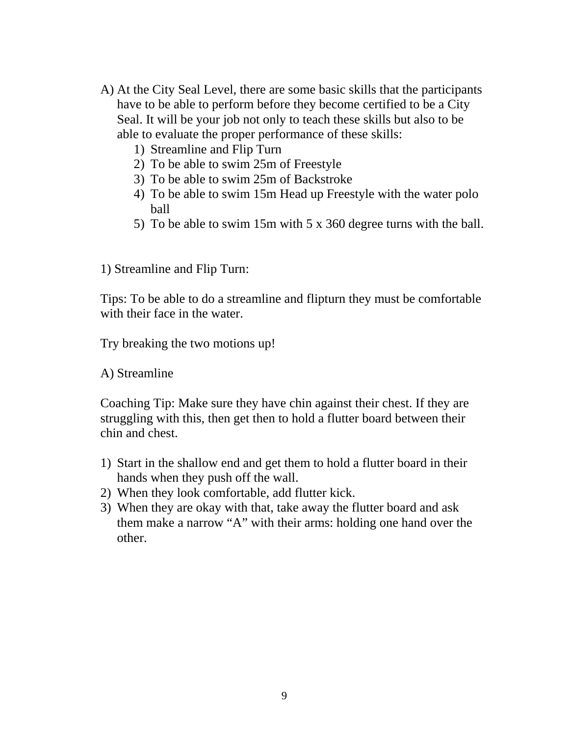- A) At the City Seal Level, there are some basic skills that the participants have to be able to perform before they become certified to be a City Seal. It will be your job not only to teach these skills but also to be able to evaluate the proper performance of these skills:
	- 1) Streamline and Flip Turn
	- 2) To be able to swim 25m of Freestyle
	- 3) To be able to swim 25m of Backstroke
	- 4) To be able to swim 15m Head up Freestyle with the water polo ball
	- 5) To be able to swim 15m with 5 x 360 degree turns with the ball.
- 1) Streamline and Flip Turn:

Tips: To be able to do a streamline and flipturn they must be comfortable with their face in the water.

Try breaking the two motions up!

A) Streamline

Coaching Tip: Make sure they have chin against their chest. If they are struggling with this, then get then to hold a flutter board between their chin and chest.

- 1) Start in the shallow end and get them to hold a flutter board in their hands when they push off the wall.
- 2) When they look comfortable, add flutter kick.
- 3) When they are okay with that, take away the flutter board and ask them make a narrow "A" with their arms: holding one hand over the other.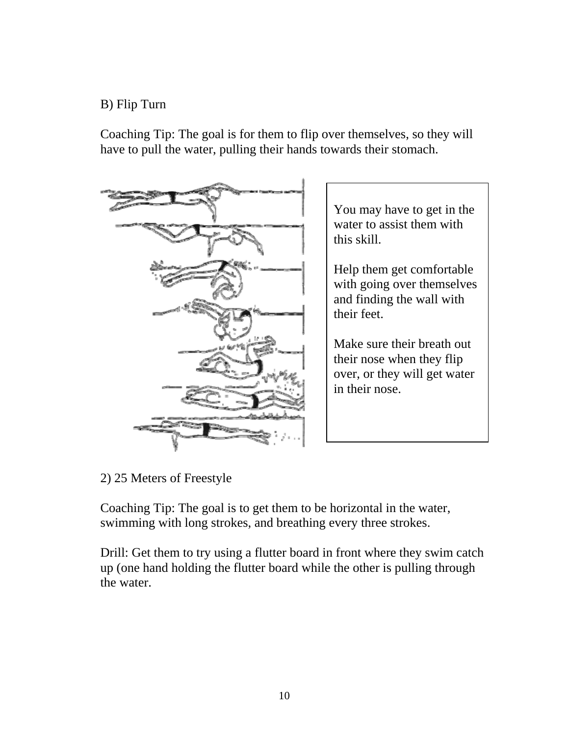#### B) Flip Turn

Coaching Tip: The goal is for them to flip over themselves, so they will have to pull the water, pulling their hands towards their stomach.



You may have to get in the water to assist them with this skill.

Help them get comfortable with going over themselves and finding the wall with their feet.

Make sure their breath out their nose when they flip over, or they will get water in their nose.

2) 25 Meters of Freestyle

Coaching Tip: The goal is to get them to be horizontal in the water, swimming with long strokes, and breathing every three strokes.

Drill: Get them to try using a flutter board in front where they swim catch up (one hand holding the flutter board while the other is pulling through the water.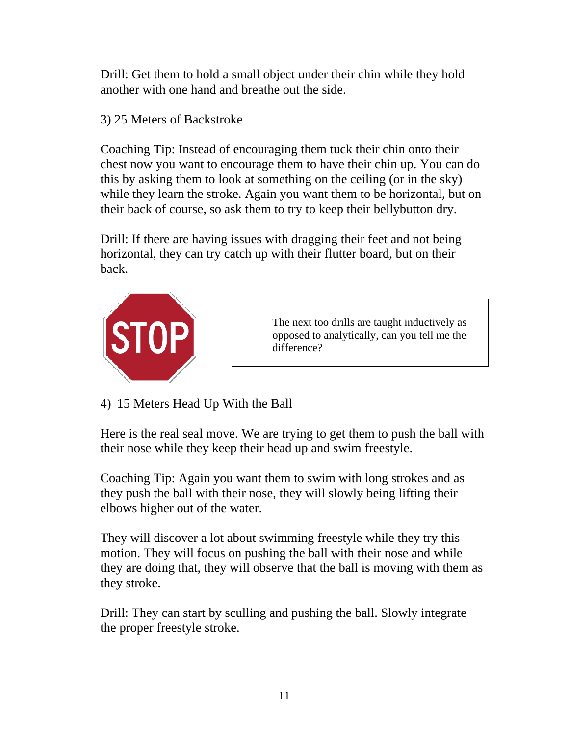Drill: Get them to hold a small object under their chin while they hold another with one hand and breathe out the side.

3) 25 Meters of Backstroke

Coaching Tip: Instead of encouraging them tuck their chin onto their chest now you want to encourage them to have their chin up. You can do this by asking them to look at something on the ceiling (or in the sky) while they learn the stroke. Again you want them to be horizontal, but on their back of course, so ask them to try to keep their bellybutton dry.

Drill: If there are having issues with dragging their feet and not being horizontal, they can try catch up with their flutter board, but on their back.



The next too drills are taught inductively as opposed to analytically, can you tell me the difference?

4) 15 Meters Head Up With the Ball

Here is the real seal move. We are trying to get them to push the ball with their nose while they keep their head up and swim freestyle.

Coaching Tip: Again you want them to swim with long strokes and as they push the ball with their nose, they will slowly being lifting their elbows higher out of the water.

They will discover a lot about swimming freestyle while they try this motion. They will focus on pushing the ball with their nose and while they are doing that, they will observe that the ball is moving with them as they stroke.

Drill: They can start by sculling and pushing the ball. Slowly integrate the proper freestyle stroke.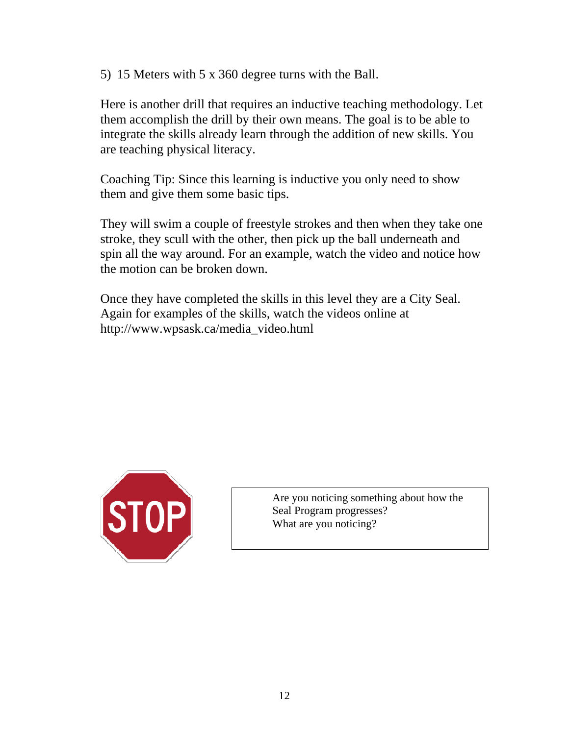5) 15 Meters with 5 x 360 degree turns with the Ball.

Here is another drill that requires an inductive teaching methodology. Let them accomplish the drill by their own means. The goal is to be able to integrate the skills already learn through the addition of new skills. You are teaching physical literacy.

Coaching Tip: Since this learning is inductive you only need to show them and give them some basic tips.

They will swim a couple of freestyle strokes and then when they take one stroke, they scull with the other, then pick up the ball underneath and spin all the way around. For an example, watch the video and notice how the motion can be broken down.

Once they have completed the skills in this level they are a City Seal. Again for examples of the skills, watch the videos online at http://www.wpsask.ca/media\_video.html



Are you noticing something about how the Seal Program progresses? What are you noticing?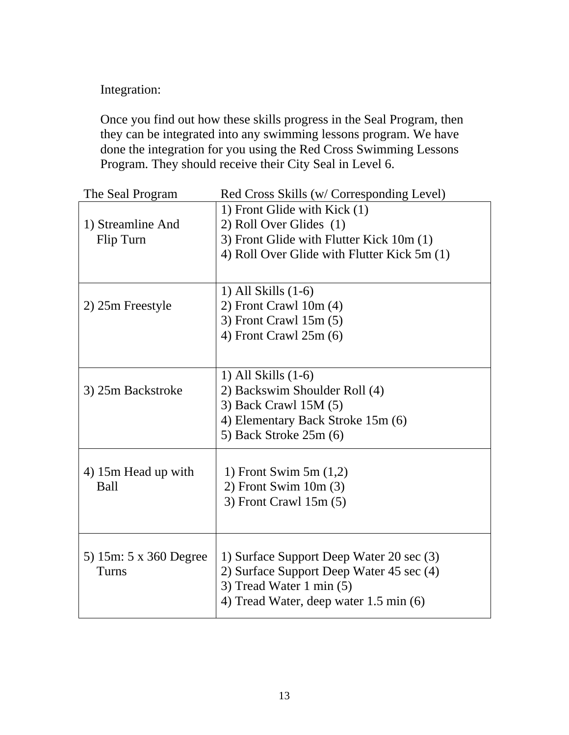Integration:

Once you find out how these skills progress in the Seal Program, then they can be integrated into any swimming lessons program. We have done the integration for you using the Red Cross Swimming Lessons Program. They should receive their City Seal in Level 6.

| The Seal Program                | Red Cross Skills (w/ Corresponding Level)                              |
|---------------------------------|------------------------------------------------------------------------|
|                                 | 1) Front Glide with Kick (1)                                           |
| 1) Streamline And               | 2) Roll Over Glides (1)                                                |
| Flip Turn                       | 3) Front Glide with Flutter Kick 10m (1)                               |
|                                 | 4) Roll Over Glide with Flutter Kick 5m (1)                            |
|                                 |                                                                        |
|                                 | $1)$ All Skills $(1-6)$                                                |
| 2) 25m Freestyle                | $2)$ Front Crawl 10m $(4)$                                             |
|                                 | 3) Front Crawl $15m(5)$                                                |
|                                 | 4) Front Crawl $25m(6)$                                                |
|                                 |                                                                        |
|                                 | 1) All Skills $(1-6)$                                                  |
| 3) 25m Backstroke               | 2) Backswim Shoulder Roll (4)                                          |
|                                 | 3) Back Crawl 15M (5)                                                  |
|                                 | 4) Elementary Back Stroke 15m (6)                                      |
|                                 | 5) Back Stroke 25m (6)                                                 |
|                                 |                                                                        |
| 4) 15m Head up with             | 1) Front Swim $5m(1,2)$                                                |
| Ball                            | $2)$ Front Swim 10m $(3)$                                              |
|                                 | $3)$ Front Crawl 15m $(5)$                                             |
|                                 |                                                                        |
|                                 |                                                                        |
| 5) 15m: 5 x 360 Degree<br>Turns | 1) Surface Support Deep Water 20 sec (3)                               |
|                                 | 2) Surface Support Deep Water 45 sec (4)<br>3) Tread Water 1 min $(5)$ |
|                                 | 4) Tread Water, deep water 1.5 min (6)                                 |
|                                 |                                                                        |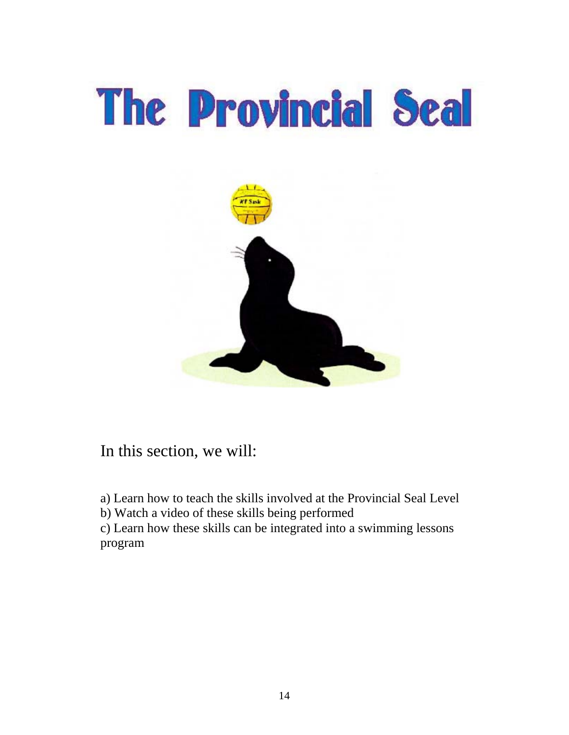

In this section, we will:

a) Learn how to teach the skills involved at the Provincial Seal Level

b) Watch a video of these skills being performed

c) Learn how these skills can be integrated into a swimming lessons program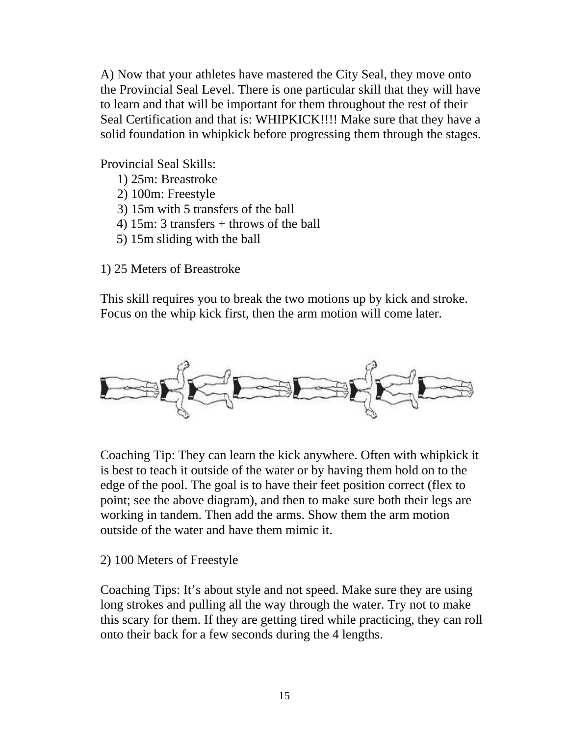A) Now that your athletes have mastered the City Seal, they move onto the Provincial Seal Level. There is one particular skill that they will have to learn and that will be important for them throughout the rest of their Seal Certification and that is: WHIPKICK!!!! Make sure that they have a solid foundation in whipkick before progressing them through the stages.

Provincial Seal Skills:

- 1) 25m: Breastroke
- 2) 100m: Freestyle
- 3) 15m with 5 transfers of the ball
- 4) 15m: 3 transfers + throws of the ball
- 5) 15m sliding with the ball

1) 25 Meters of Breastroke

This skill requires you to break the two motions up by kick and stroke. Focus on the whip kick first, then the arm motion will come later.



Coaching Tip: They can learn the kick anywhere. Often with whipkick it is best to teach it outside of the water or by having them hold on to the edge of the pool. The goal is to have their feet position correct (flex to point; see the above diagram), and then to make sure both their legs are working in tandem. Then add the arms. Show them the arm motion outside of the water and have them mimic it.

#### 2) 100 Meters of Freestyle

Coaching Tips: It's about style and not speed. Make sure they are using long strokes and pulling all the way through the water. Try not to make this scary for them. If they are getting tired while practicing, they can roll onto their back for a few seconds during the 4 lengths.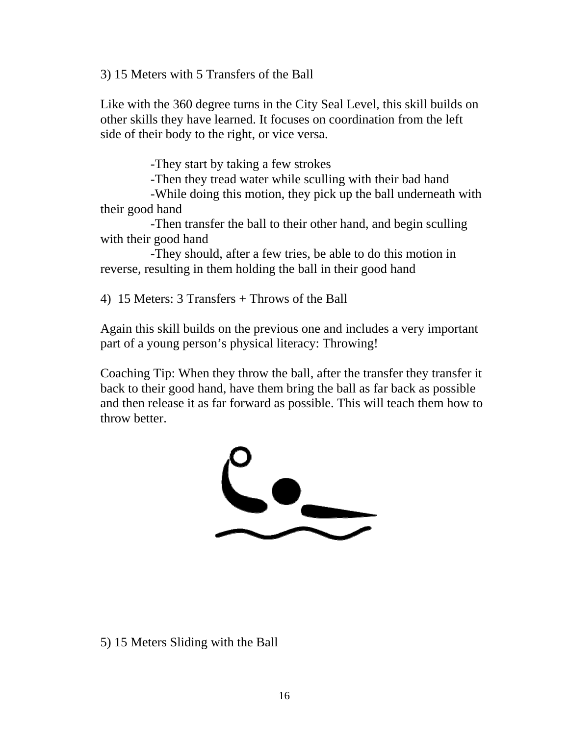3) 15 Meters with 5 Transfers of the Ball

Like with the 360 degree turns in the City Seal Level, this skill builds on other skills they have learned. It focuses on coordination from the left side of their body to the right, or vice versa.

-They start by taking a few strokes

-Then they tread water while sculling with their bad hand

 -While doing this motion, they pick up the ball underneath with their good hand

 -Then transfer the ball to their other hand, and begin sculling with their good hand

 -They should, after a few tries, be able to do this motion in reverse, resulting in them holding the ball in their good hand

4) 15 Meters: 3 Transfers + Throws of the Ball

Again this skill builds on the previous one and includes a very important part of a young person's physical literacy: Throwing!

Coaching Tip: When they throw the ball, after the transfer they transfer it back to their good hand, have them bring the ball as far back as possible and then release it as far forward as possible. This will teach them how to throw better.



#### 5) 15 Meters Sliding with the Ball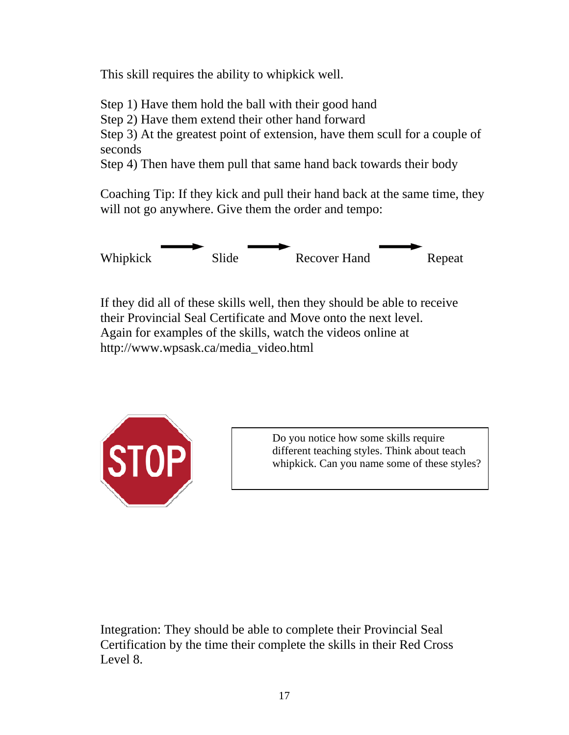This skill requires the ability to whipkick well.

Step 1) Have them hold the ball with their good hand

Step 2) Have them extend their other hand forward

Step 3) At the greatest point of extension, have them scull for a couple of seconds

Step 4) Then have them pull that same hand back towards their body

Coaching Tip: If they kick and pull their hand back at the same time, they will not go anywhere. Give them the order and tempo:



If they did all of these skills well, then they should be able to receive their Provincial Seal Certificate and Move onto the next level. Again for examples of the skills, watch the videos online at http://www.wpsask.ca/media\_video.html



Do you notice how some skills require different teaching styles. Think about teach whipkick. Can you name some of these styles?

Integration: They should be able to complete their Provincial Seal Certification by the time their complete the skills in their Red Cross Level 8.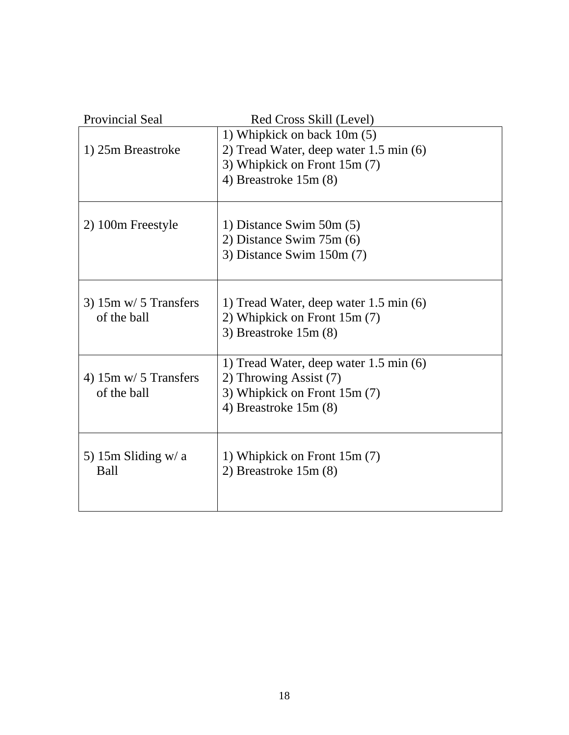| Provincial Seal                                | Red Cross Skill (Level)                                                                                                         |
|------------------------------------------------|---------------------------------------------------------------------------------------------------------------------------------|
| 1) 25m Breastroke                              | 1) Whipkick on back 10m (5)<br>2) Tread Water, deep water 1.5 min (6)<br>3) Whipkick on Front 15m (7)<br>4) Breastroke $15m(8)$ |
| 2) 100m Freestyle                              | 1) Distance Swim $50m(5)$<br>2) Distance Swim $75m(6)$<br>3) Distance Swim $150m(7)$                                            |
| $3)$ 15m w/ 5 Transfers<br>of the ball         | 1) Tread Water, deep water 1.5 min (6)<br>2) Whipkick on Front 15m (7)<br>3) Breastroke $15m(8)$                                |
| 4) $15m \text{ w}/ 5$ Transfers<br>of the ball | 1) Tread Water, deep water 1.5 min (6)<br>2) Throwing Assist (7)<br>3) Whipkick on Front 15m (7)<br>4) Breastroke $15m(8)$      |
| 5) 15m Sliding $w/a$<br><b>Ball</b>            | 1) Whipkick on Front 15m (7)<br>2) Breastroke $15m(8)$                                                                          |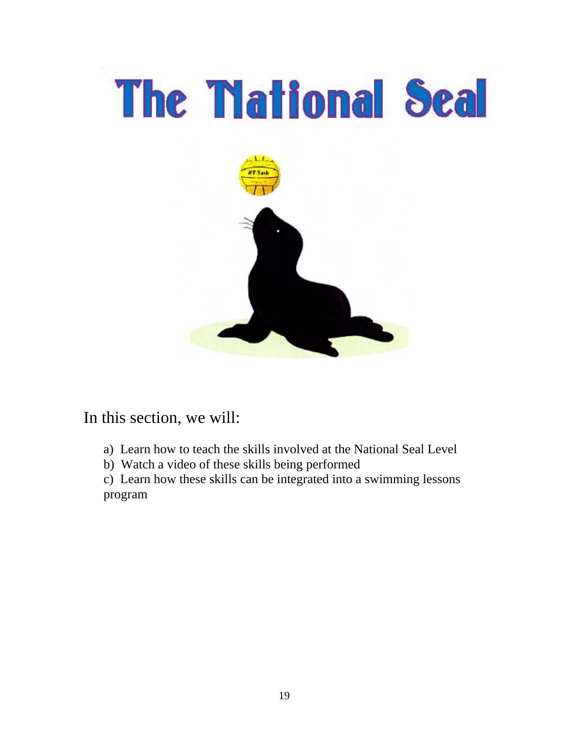

### In this section, we will:

- a) Learn how to teach the skills involved at the National Seal Level
- b) Watch a video of these skills being performed

 c) Learn how these skills can be integrated into a swimming lessons program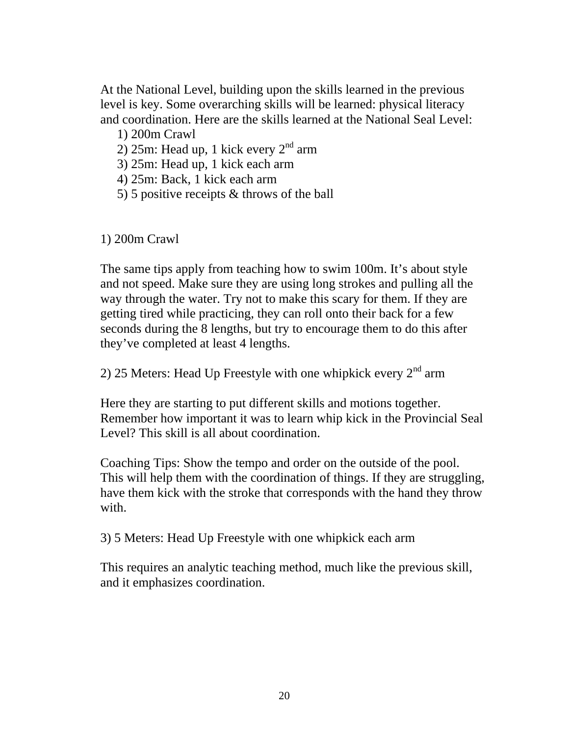At the National Level, building upon the skills learned in the previous level is key. Some overarching skills will be learned: physical literacy and coordination. Here are the skills learned at the National Seal Level:

1) 200m Crawl

2) 25m: Head up, 1 kick every  $2<sup>nd</sup>$  arm

3) 25m: Head up, 1 kick each arm

4) 25m: Back, 1 kick each arm

5) 5 positive receipts & throws of the ball

1) 200m Crawl

The same tips apply from teaching how to swim 100m. It's about style and not speed. Make sure they are using long strokes and pulling all the way through the water. Try not to make this scary for them. If they are getting tired while practicing, they can roll onto their back for a few seconds during the 8 lengths, but try to encourage them to do this after they've completed at least 4 lengths.

2) 25 Meters: Head Up Freestyle with one whipkick every  $2<sup>nd</sup>$  arm

Here they are starting to put different skills and motions together. Remember how important it was to learn whip kick in the Provincial Seal Level? This skill is all about coordination.

Coaching Tips: Show the tempo and order on the outside of the pool. This will help them with the coordination of things. If they are struggling, have them kick with the stroke that corresponds with the hand they throw with.

3) 5 Meters: Head Up Freestyle with one whipkick each arm

This requires an analytic teaching method, much like the previous skill, and it emphasizes coordination.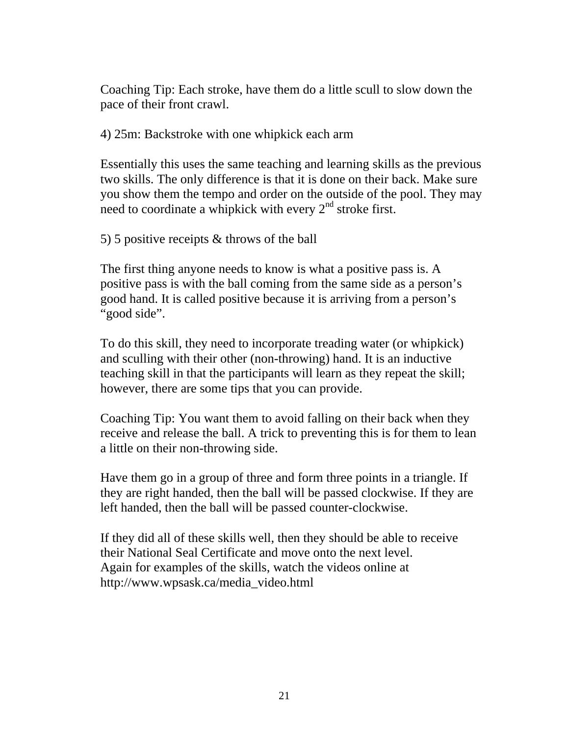Coaching Tip: Each stroke, have them do a little scull to slow down the pace of their front crawl.

4) 25m: Backstroke with one whipkick each arm

Essentially this uses the same teaching and learning skills as the previous two skills. The only difference is that it is done on their back. Make sure you show them the tempo and order on the outside of the pool. They may need to coordinate a whipkick with every  $2<sup>nd</sup>$  stroke first.

5) 5 positive receipts & throws of the ball

The first thing anyone needs to know is what a positive pass is. A positive pass is with the ball coming from the same side as a person's good hand. It is called positive because it is arriving from a person's "good side".

To do this skill, they need to incorporate treading water (or whipkick) and sculling with their other (non-throwing) hand. It is an inductive teaching skill in that the participants will learn as they repeat the skill; however, there are some tips that you can provide.

Coaching Tip: You want them to avoid falling on their back when they receive and release the ball. A trick to preventing this is for them to lean a little on their non-throwing side.

Have them go in a group of three and form three points in a triangle. If they are right handed, then the ball will be passed clockwise. If they are left handed, then the ball will be passed counter-clockwise.

If they did all of these skills well, then they should be able to receive their National Seal Certificate and move onto the next level. Again for examples of the skills, watch the videos online at http://www.wpsask.ca/media\_video.html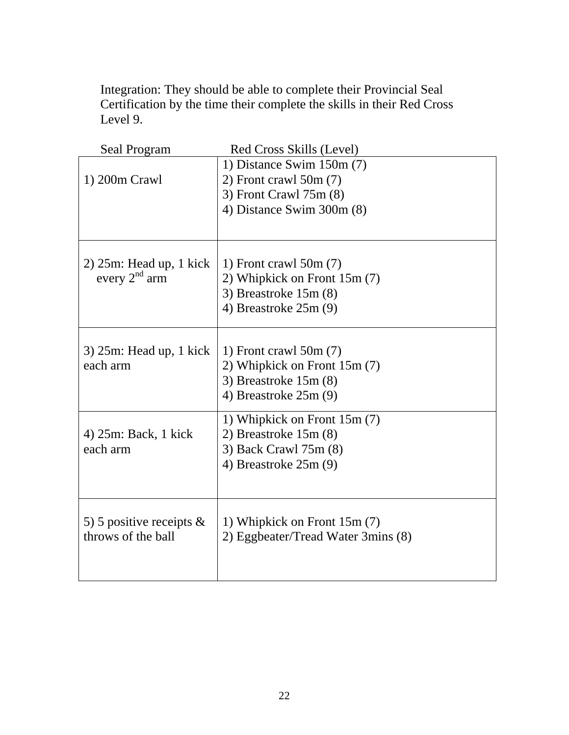Integration: They should be able to complete their Provincial Seal Certification by the time their complete the skills in their Red Cross Level 9.

| Seal Program                | Red Cross Skills (Level)           |
|-----------------------------|------------------------------------|
|                             | 1) Distance Swim $150m(7)$         |
| 1) 200m Crawl               | $2)$ Front crawl 50m $(7)$         |
|                             | 3) Front Crawl 75m (8)             |
|                             | 4) Distance Swim 300m (8)          |
|                             |                                    |
| $2)$ 25m: Head up, 1 kick   | 1) Front crawl $50m(7)$            |
| every $2nd$ arm             | 2) Whipkick on Front 15m (7)       |
|                             | 3) Breastroke $15m(8)$             |
|                             | 4) Breastroke $25m(9)$             |
|                             |                                    |
| $3)$ 25m: Head up, 1 kick   | 1) Front crawl $50m(7)$            |
| each arm                    | 2) Whipkick on Front 15m (7)       |
|                             | 3) Breastroke $15m(8)$             |
|                             | 4) Breastroke $25m(9)$             |
|                             |                                    |
|                             | 1) Whipkick on Front 15m (7)       |
| 4) 25m: Back, 1 kick        | 2) Breastroke $15m(8)$             |
| each arm                    | 3) Back Crawl 75m (8)              |
|                             | 4) Breastroke $25m(9)$             |
|                             |                                    |
|                             |                                    |
| 5) 5 positive receipts $\&$ | 1) Whipkick on Front 15m (7)       |
| throws of the ball          | 2) Eggbeater/Tread Water 3mins (8) |
|                             |                                    |
|                             |                                    |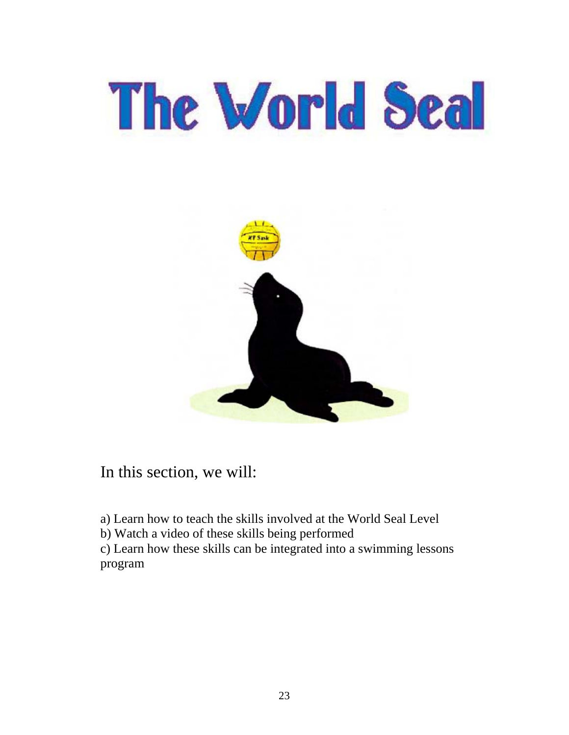# The World Seal



In this section, we will:

a) Learn how to teach the skills involved at the World Seal Level

b) Watch a video of these skills being performed

c) Learn how these skills can be integrated into a swimming lessons program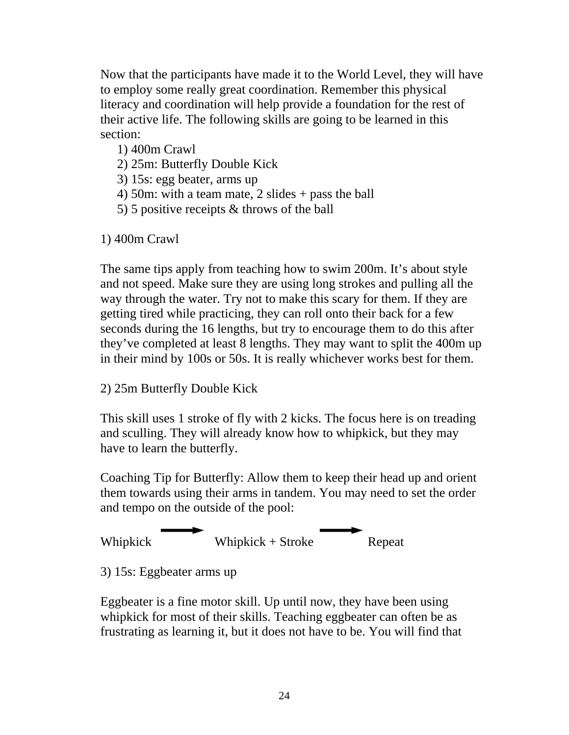Now that the participants have made it to the World Level, they will have to employ some really great coordination. Remember this physical literacy and coordination will help provide a foundation for the rest of their active life. The following skills are going to be learned in this section:

- 1) 400m Crawl
- 2) 25m: Butterfly Double Kick
- 3) 15s: egg beater, arms up
- 4) 50m: with a team mate, 2 slides + pass the ball
- 5) 5 positive receipts & throws of the ball

1) 400m Crawl

The same tips apply from teaching how to swim 200m. It's about style and not speed. Make sure they are using long strokes and pulling all the way through the water. Try not to make this scary for them. If they are getting tired while practicing, they can roll onto their back for a few seconds during the 16 lengths, but try to encourage them to do this after they've completed at least 8 lengths. They may want to split the 400m up in their mind by 100s or 50s. It is really whichever works best for them.

#### 2) 25m Butterfly Double Kick

This skill uses 1 stroke of fly with 2 kicks. The focus here is on treading and sculling. They will already know how to whipkick, but they may have to learn the butterfly.

Coaching Tip for Butterfly: Allow them to keep their head up and orient them towards using their arms in tandem. You may need to set the order and tempo on the outside of the pool:



3) 15s: Eggbeater arms up

Eggbeater is a fine motor skill. Up until now, they have been using whipkick for most of their skills. Teaching eggbeater can often be as frustrating as learning it, but it does not have to be. You will find that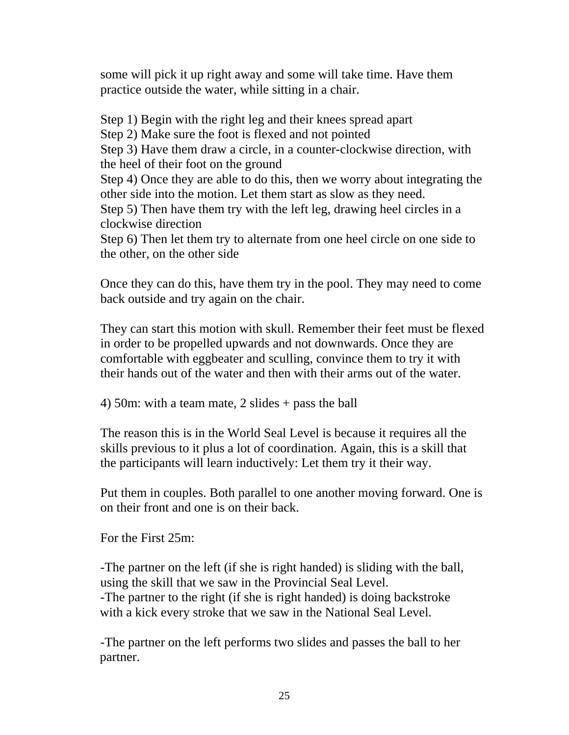some will pick it up right away and some will take time. Have them practice outside the water, while sitting in a chair.

Step 1) Begin with the right leg and their knees spread apart Step 2) Make sure the foot is flexed and not pointed Step 3) Have them draw a circle, in a counter-clockwise direction, with the heel of their foot on the ground Step 4) Once they are able to do this, then we worry about integrating the other side into the motion. Let them start as slow as they need. Step 5) Then have them try with the left leg, drawing heel circles in a clockwise direction Step 6) Then let them try to alternate from one heel circle on one side to the other, on the other side

Once they can do this, have them try in the pool. They may need to come back outside and try again on the chair.

They can start this motion with skull. Remember their feet must be flexed in order to be propelled upwards and not downwards. Once they are comfortable with eggbeater and sculling, convince them to try it with their hands out of the water and then with their arms out of the water.

4) 50m: with a team mate, 2 slides + pass the ball

The reason this is in the World Seal Level is because it requires all the skills previous to it plus a lot of coordination. Again, this is a skill that the participants will learn inductively: Let them try it their way.

Put them in couples. Both parallel to one another moving forward. One is on their front and one is on their back.

For the First 25m:

-The partner on the left (if she is right handed) is sliding with the ball, using the skill that we saw in the Provincial Seal Level. -The partner to the right (if she is right handed) is doing backstroke with a kick every stroke that we saw in the National Seal Level.

-The partner on the left performs two slides and passes the ball to her partner.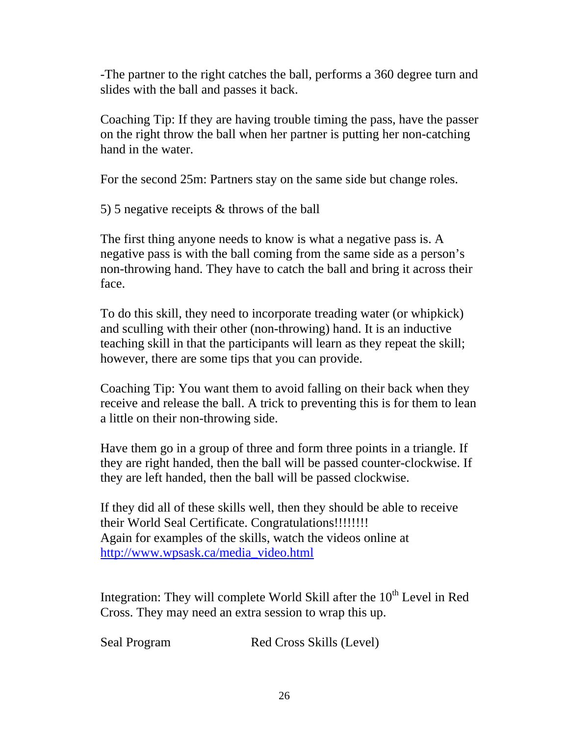-The partner to the right catches the ball, performs a 360 degree turn and slides with the ball and passes it back.

Coaching Tip: If they are having trouble timing the pass, have the passer on the right throw the ball when her partner is putting her non-catching hand in the water.

For the second 25m: Partners stay on the same side but change roles.

5) 5 negative receipts & throws of the ball

The first thing anyone needs to know is what a negative pass is. A negative pass is with the ball coming from the same side as a person's non-throwing hand. They have to catch the ball and bring it across their face.

To do this skill, they need to incorporate treading water (or whipkick) and sculling with their other (non-throwing) hand. It is an inductive teaching skill in that the participants will learn as they repeat the skill; however, there are some tips that you can provide.

Coaching Tip: You want them to avoid falling on their back when they receive and release the ball. A trick to preventing this is for them to lean a little on their non-throwing side.

Have them go in a group of three and form three points in a triangle. If they are right handed, then the ball will be passed counter-clockwise. If they are left handed, then the ball will be passed clockwise.

If they did all of these skills well, then they should be able to receive their World Seal Certificate. Congratulations!!!!!!!! Again for examples of the skills, watch the videos online at http://www.wpsask.ca/media\_video.html

Integration: They will complete World Skill after the  $10<sup>th</sup>$  Level in Red Cross. They may need an extra session to wrap this up.

Seal Program Red Cross Skills (Level)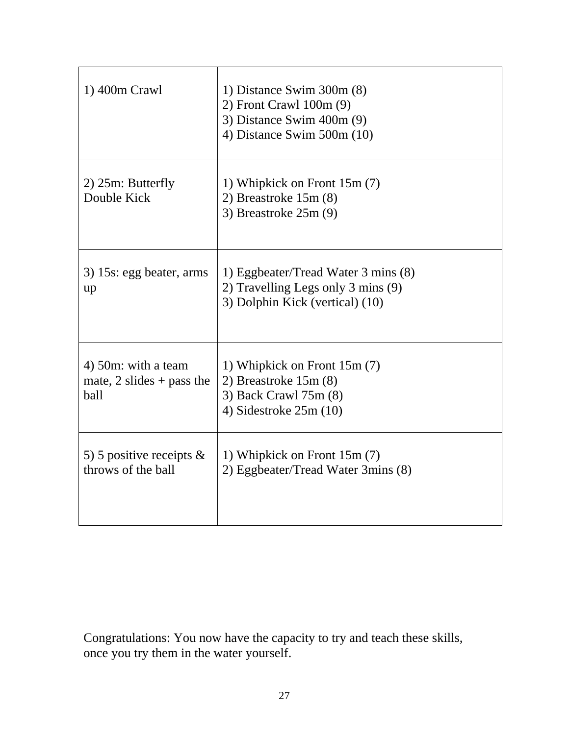| 1) 400m Crawl                                            | 1) Distance Swim $300m(8)$<br>$2)$ Front Crawl 100m $(9)$<br>3) Distance Swim 400m (9)<br>4) Distance Swim $500m(10)$ |
|----------------------------------------------------------|-----------------------------------------------------------------------------------------------------------------------|
| 2) 25m: Butterfly<br>Double Kick                         | 1) Whipkick on Front 15m (7)<br>2) Breastroke $15m(8)$<br>3) Breastroke 25m (9)                                       |
| 3) 15s: egg beater, arms<br>up                           | 1) Eggbeater/Tread Water 3 mins (8)<br>2) Travelling Legs only 3 mins (9)<br>3) Dolphin Kick (vertical) (10)          |
| 4) 50m: with a team<br>mate, 2 slides + pass the<br>ball | 1) Whipkick on Front 15m (7)<br>2) Breastroke $15m(8)$<br>3) Back Crawl 75m (8)<br>4) Sidestroke $25m(10)$            |
| 5) 5 positive receipts $\&$<br>throws of the ball        | 1) Whipkick on Front 15m (7)<br>2) Eggbeater/Tread Water 3mins (8)                                                    |

Congratulations: You now have the capacity to try and teach these skills, once you try them in the water yourself.